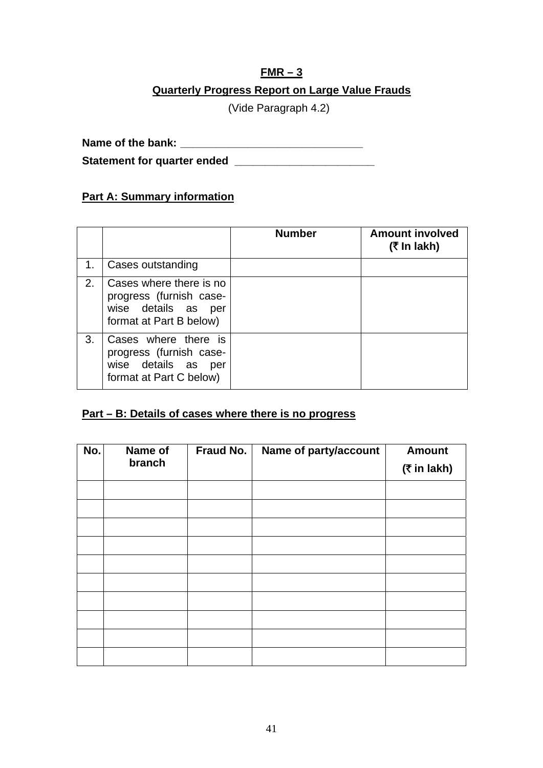## **FMR – 3 Quarterly Progress Report on Large Value Frauds**

(Vide Paragraph 4.2)

**Name of the bank: \_\_\_\_\_\_\_\_\_\_\_\_\_\_\_\_\_\_\_\_\_\_\_\_\_\_\_\_\_\_** 

Statement for quarter ended *\_\_\_\_\_\_\_\_\_\_\_\_\_\_\_\_\_\_\_\_\_\_\_\_\_\_\_\_\_***\_\_\_** 

## **Part A: Summary information**

|    |                                                                                                      | <b>Number</b> | <b>Amount involved</b><br>(₹ In lakh) |
|----|------------------------------------------------------------------------------------------------------|---------------|---------------------------------------|
| 1. | Cases outstanding                                                                                    |               |                                       |
| 2. | Cases where there is no<br>progress (furnish case-<br>wise details as per<br>format at Part B below) |               |                                       |
| 3. | Cases where there is<br>progress (furnish case-<br>wise details as per<br>format at Part C below)    |               |                                       |

## **Part – B: Details of cases where there is no progress**

| No. | Name of | Fraud No. | Name of party/account | <b>Amount</b>  |
|-----|---------|-----------|-----------------------|----------------|
|     | branch  |           |                       | $($ ₹ in lakh) |
|     |         |           |                       |                |
|     |         |           |                       |                |
|     |         |           |                       |                |
|     |         |           |                       |                |
|     |         |           |                       |                |
|     |         |           |                       |                |
|     |         |           |                       |                |
|     |         |           |                       |                |
|     |         |           |                       |                |
|     |         |           |                       |                |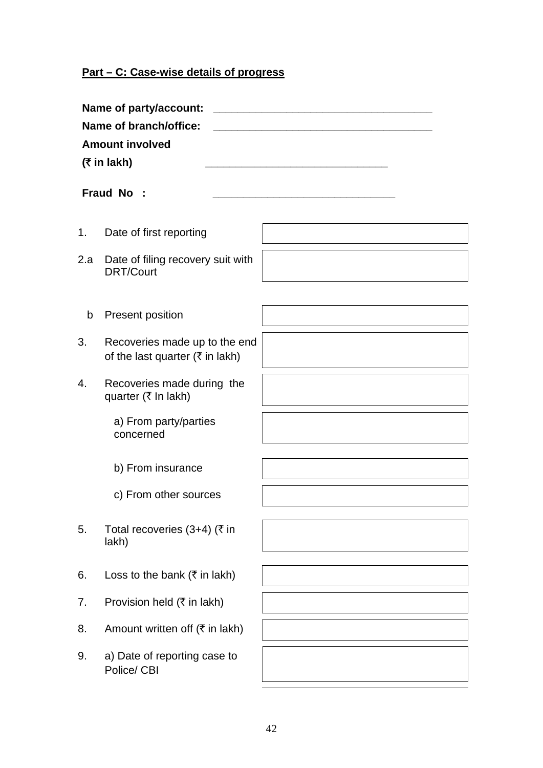## **Part – C: Case-wise details of progress**

|     | Name of party/account:<br>Name of branch/office:<br><b>Amount involved</b><br>$($ ₹ in lakh) |  |
|-----|----------------------------------------------------------------------------------------------|--|
|     | Fraud No :                                                                                   |  |
| 1.  | Date of first reporting                                                                      |  |
| 2.a | Date of filing recovery suit with<br><b>DRT/Court</b>                                        |  |
|     |                                                                                              |  |
| b   | <b>Present position</b>                                                                      |  |
| 3.  | Recoveries made up to the end<br>of the last quarter ( $\overline{\xi}$ in lakh)             |  |
| 4.  | Recoveries made during the<br>quarter (₹ In lakh)                                            |  |
|     | a) From party/parties<br>concerned                                                           |  |
|     | b) From insurance                                                                            |  |
|     | c) From other sources                                                                        |  |
| 5.  | Total recoveries (3+4) (₹ in<br>lakh)                                                        |  |
|     |                                                                                              |  |
| 6.  | Loss to the bank ( $\bar{\tau}$ in lakh)                                                     |  |
| 7.  | Provision held $(\bar{\tau}$ in lakh)                                                        |  |
| 8.  | Amount written off $(\overline{\tau})$ in lakh)                                              |  |
| 9.  | a) Date of reporting case to<br>Police/ CBI                                                  |  |